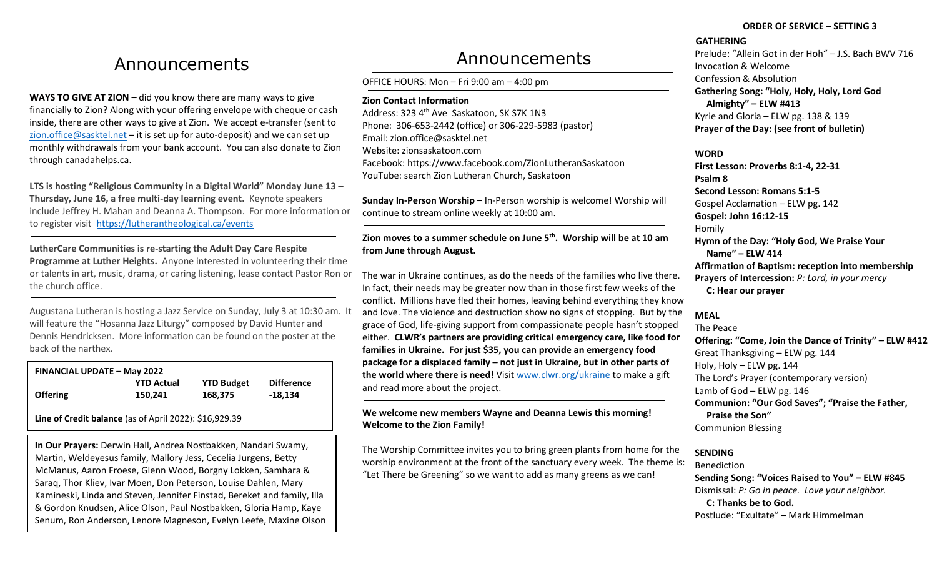## Announcements

**WAYS TO GIVE AT ZION** – did you know there are many ways to give financially to Zion? Along with your offering envelope with cheque or cash inside, there are other ways to give at Zion. We accept e-transfer (sent to [zion.office@sasktel.net](mailto:zion.office@sasktel.net) – it is set up for auto-deposit) and we can set up monthly withdrawals from your bank account. You can also donate to Zion through canadahelps.ca.

**LTS is hosting "Religious Community in a Digital World" Monday June 13 – Thursday, June 16, a free multi-day learning event.** Keynote speakers include Jeffrey H. Mahan and Deanna A. Thompson. For more information or to register visit <https://lutherantheological.ca/events>

**LutherCare Communities is re-starting the Adult Day Care Respite Programme at Luther Heights.** Anyone interested in volunteering their time or talents in art, music, drama, or caring listening, lease contact Pastor Ron or the church office.

Augustana Lutheran is hosting a Jazz Service on Sunday, July 3 at 10:30 am. It will feature the "Hosanna Jazz Liturgy" composed by David Hunter and Dennis Hendricksen. More information can be found on the poster at the back of the narthex.

| <b>FINANCIAL UPDATE - May 2022</b> |                   |                   |                   |
|------------------------------------|-------------------|-------------------|-------------------|
|                                    | <b>YTD Actual</b> | <b>YTD Budget</b> | <b>Difference</b> |
| <b>Offering</b>                    | 150.241           | 168,375           | -18.134           |

**Line of Credit balance** (as of April 2022): \$16,929.39

**In Our Prayers:** Derwin Hall, Andrea Nostbakken, Nandari Swamy, Martin, Weldeyesus family, Mallory Jess, Cecelia Jurgens, Betty McManus, Aaron Froese, Glenn Wood, Borgny Lokken, Samhara & Saraq, Thor Kliev, Ivar Moen, Don Peterson, Louise Dahlen, Mary Kamineski, Linda and Steven, Jennifer Finstad, Bereket and family, Illa & Gordon Knudsen, Alice Olson, Paul Nostbakken, Gloria Hamp, Kaye Senum, Ron Anderson, Lenore Magneson, Evelyn Leefe, Maxine Olson

# Announcements

OFFICE HOURS: Mon – Fri 9:00 am – 4:00 pm

**Zion Contact Information**

Address: 323 4<sup>th</sup> Ave Saskatoon, SK S7K 1N3 Phone: 306-653-2442 (office) or 306-229-5983 (pastor) Email[: zion.office@sasktel.net](mailto:zion.office@sasktel.net) Website: zionsaskatoon.com Facebook:<https://www.facebook.com/ZionLutheranSaskatoon> YouTube[: search](https://www.youtube.com/channel/UCo7oFRb9WluqtWmHpv-yVgw) Zion Lutheran Church, Saskatoon

**Sunday In-Person Worship** – In-Person worship is welcome! Worship will continue to stream online weekly at 10:00 am.

**Zion moves to a summer schedule on June 5th. Worship will be at 10 am from June through August.** 

The war in Ukraine continues, as do the needs of the families who live there. In fact, their needs may be greater now than in those first few weeks of the conflict. Millions have fled their homes, leaving behind everything they know and love. The violence and destruction show no signs of stopping. But by the grace of God, life-giving support from compassionate people hasn't stopped either. **CLWR's partners are providing critical emergency care, like food for families in Ukraine. For just \$35, you can provide an emergency food package for a displaced family – not just in Ukraine, but in other parts of the world where there is need!** Visi[t www.clwr.org/ukraine](http://www.clwr.org/ukraine) to make a gift and read more about the project.

### **We welcome new members Wayne and Deanna Lewis this morning! Welcome to the Zion Family!**

The Worship Committee invites you to bring green plants from home for the worship environment at the front of the sanctuary every week. The theme is: "Let There be Greening" so we want to add as many greens as we can!

#### **ORDER OF SERVICE – SETTING 3**

#### **GATHERING**

Prelude: "Allein Got in der Hoh" – J.S. Bach BWV 716 Invocation & Welcome Confession & Absolution **Gathering Song: "Holy, Holy, Holy, Lord God Almighty" – ELW #413**  Kyrie and Gloria – ELW pg. 138 & 139 **Prayer of the Day: (see front of bulletin)**

#### **WORD**

**First Lesson: Proverbs 8:1-4, 22-31 Psalm 8 Second Lesson: Romans 5:1-5** Gospel Acclamation – ELW pg. 142 **Gospel: John 16:12-15** Homily **Hymn of the Day: "Holy God, We Praise Your Name" – ELW 414 Affirmation of Baptism: reception into membership Prayers of Intercession:** *P: Lord, in your mercy* **C: Hear our prayer**

## **MEAL**

The Peace **Offering: "Come, Join the Dance of Trinity" – ELW #412** Great Thanksgiving – ELW pg. 144 Holy, Holy – ELW pg. 144 The Lord's Prayer (contemporary version) Lamb of God – ELW pg. 146 **Communion: "Our God Saves"; "Praise the Father, Praise the Son"** Communion Blessing

## **SENDING**

Benediction **Sending Song: "Voices Raised to You" – ELW #845** Dismissal: *P: Go in peace. Love your neighbor.*  **C: Thanks be to God.**  Postlude: "Exultate" – Mark Himmelman